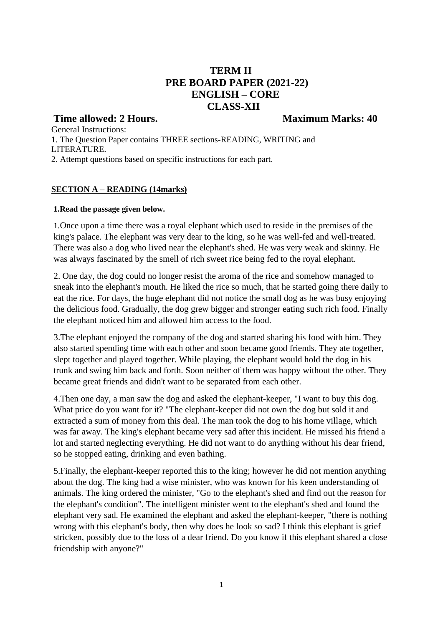# **TERM II PRE BOARD PAPER (2021-22) ENGLISH – CORE CLASS-XII**

### **Time allowed: 2 Hours.** Maximum Marks: 40

General Instructions: 1. The Question Paper contains THREE sections-READING, WRITING and LITERATURE. 2. Attempt questions based on specific instructions for each part.

### **SECTION A – READING (14marks)**

#### **1.Read the passage given below.**

1.Once upon a time there was a royal elephant which used to reside in the premises of the king's palace. The elephant was very dear to the king, so he was well-fed and well-treated. There was also a dog who lived near the elephant's shed. He was very weak and skinny. He was always fascinated by the smell of rich sweet rice being fed to the royal elephant.

2. One day, the dog could no longer resist the aroma of the rice and somehow managed to sneak into the elephant's mouth. He liked the rice so much, that he started going there daily to eat the rice. For days, the huge elephant did not notice the small dog as he was busy enjoying the delicious food. Gradually, the dog grew bigger and stronger eating such rich food. Finally the elephant noticed him and allowed him access to the food.

3.The elephant enjoyed the company of the dog and started sharing his food with him. They also started spending time with each other and soon became good friends. They ate together, slept together and played together. While playing, the elephant would hold the dog in his trunk and swing him back and forth. Soon neither of them was happy without the other. They became great friends and didn't want to be separated from each other.

4.Then one day, a man saw the dog and asked the elephant-keeper, "I want to buy this dog. What price do you want for it? "The elephant-keeper did not own the dog but sold it and extracted a sum of money from this deal. The man took the dog to his home village, which was far away. The king's elephant became very sad after this incident. He missed his friend a lot and started neglecting everything. He did not want to do anything without his dear friend, so he stopped eating, drinking and even bathing.

5.Finally, the elephant-keeper reported this to the king; however he did not mention anything about the dog. The king had a wise minister, who was known for his keen understanding of animals. The king ordered the minister, "Go to the elephant's shed and find out the reason for the elephant's condition". The intelligent minister went to the elephant's shed and found the elephant very sad. He examined the elephant and asked the elephant-keeper, "there is nothing wrong with this elephant's body, then why does he look so sad? I think this elephant is grief stricken, possibly due to the loss of a dear friend. Do you know if this elephant shared a close friendship with anyone?"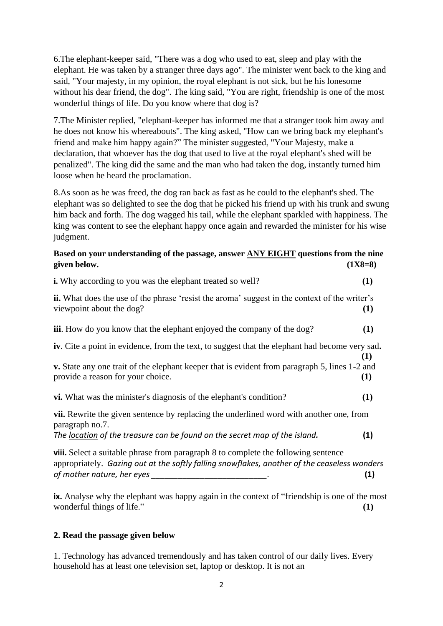6.The elephant-keeper said, "There was a dog who used to eat, sleep and play with the elephant. He was taken by a stranger three days ago". The minister went back to the king and said, "Your majesty, in my opinion, the royal elephant is not sick, but he his lonesome without his dear friend, the dog". The king said, "You are right, friendship is one of the most wonderful things of life. Do you know where that dog is?

7.The Minister replied, "elephant-keeper has informed me that a stranger took him away and he does not know his whereabouts". The king asked, "How can we bring back my elephant's friend and make him happy again?" The minister suggested, "Your Majesty, make a declaration, that whoever has the dog that used to live at the royal elephant's shed will be penalized". The king did the same and the man who had taken the dog, instantly turned him loose when he heard the proclamation.

8.As soon as he was freed, the dog ran back as fast as he could to the elephant's shed. The elephant was so delighted to see the dog that he picked his friend up with his trunk and swung him back and forth. The dog wagged his tail, while the elephant sparkled with happiness. The king was content to see the elephant happy once again and rewarded the minister for his wise judgment.

### **Based on your understanding of the passage, answer ANY EIGHT questions from the nine given below. (1X8=8)**

| <b>i.</b> Why according to you was the elephant treated so well?                                                                                                                                                 | (1)            |
|------------------------------------------------------------------------------------------------------------------------------------------------------------------------------------------------------------------|----------------|
| <b>ii.</b> What does the use of the phrase 'resist the aroma' suggest in the context of the writer's<br>viewpoint about the dog?                                                                                 | (1)            |
| <b>iii.</b> How do you know that the elephant enjoyed the company of the dog?                                                                                                                                    | (1)            |
| iv. Cite a point in evidence, from the text, to suggest that the elephant had become very sad.                                                                                                                   | (1)            |
| v. State any one trait of the elephant keeper that is evident from paragraph 5, lines 1-2 and<br>provide a reason for your choice.                                                                               | $\bf(1)$       |
| <b>vi.</b> What was the minister's diagnosis of the elephant's condition?                                                                                                                                        | (1)            |
| <b>vii.</b> Rewrite the given sentence by replacing the underlined word with another one, from<br>paragraph no.7.<br>The location of the treasure can be found on the secret map of the island.                  | (1)            |
| viii. Select a suitable phrase from paragraph 8 to complete the following sentence<br>appropriately. Gazing out at the softly falling snowflakes, another of the ceaseless wonders<br>of mother nature, her eyes | $\mathbf{(1)}$ |

**ix.** Analyse why the elephant was happy again in the context of "friendship is one of the most wonderful things of life." **(1)**

### **2. Read the passage given below**

1. Technology has advanced tremendously and has taken control of our daily lives. Every household has at least one television set, laptop or desktop. It is not an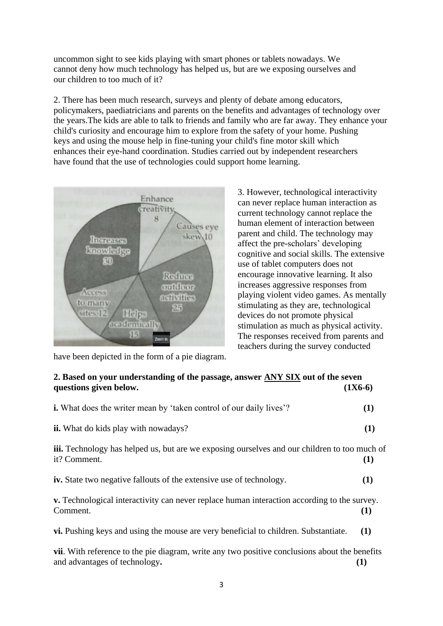uncommon sight to see kids playing with smart phones or tablets nowadays. We cannot deny how much technology has helped us, but are we exposing ourselves and our children to too much of it?

2. There has been much research, surveys and plenty of debate among educators, policymakers, paediatricians and parents on the benefits and advantages of technology over the years.The kids are able to talk to friends and family who are far away. They enhance your child's curiosity and encourage him to explore from the safety of your home. Pushing keys and using the mouse help in fine-tuning your child's fine motor skill which enhances their eye-hand coordination. Studies carried out by independent researchers have found that the use of technologies could support home learning.



3. However, technological interactivity can never replace human interaction as current technology cannot replace the human element of interaction between parent and child. The technology may affect the pre-scholars' developing cognitive and social skills. The extensive use of tablet computers does not encourage innovative learning. It also increases aggressive responses from playing violent video games. As mentally stimulating as they are, technological devices do not promote physical stimulation as much as physical activity. The responses received from parents and teachers during the survey conducted

### **2. Based on your understanding of the passage, answer ANY SIX out of the seven questions given below. (1X6-6)**

| <b>i.</b> What does the writer mean by 'taken control of our daily lives'?                                          | (1)      |
|---------------------------------------------------------------------------------------------------------------------|----------|
| <b>ii.</b> What do kids play with nowadays?                                                                         | (1)      |
| <b>iii.</b> Technology has helped us, but are we exposing ourselves and our children to too much of<br>it? Comment. | (1)      |
| <b>iv.</b> State two negative fallouts of the extensive use of technology.                                          | (1)      |
| v. Technological interactivity can never replace human interaction according to the survey.<br>Comment.             | $\bf(1)$ |
| vi. Pushing keys and using the mouse are very beneficial to children. Substantiate.                                 | (1)      |

**vii**. With reference to the pie diagram, write any two positive conclusions about the benefits and advantages of technology. (1)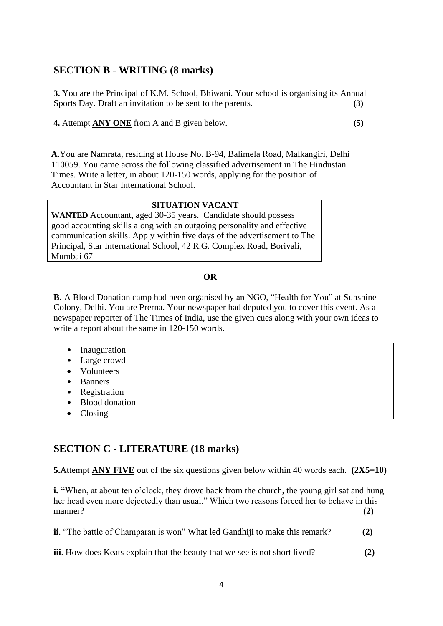## **SECTION B - WRITING (8 marks)**

**3.** You are the Principal of K.M. School, Bhiwani. Your school is organising its Annual Sports Day. Draft an invitation to be sent to the parents. **(3)** 

**4.** Attempt **ANY ONE** from A and B given below. **(5)**

**A.**You are Namrata, residing at House No. B-94, Balimela Road, Malkangiri, Delhi 110059. You came across the following classified advertisement in The Hindustan Times. Write a letter, in about 120-150 words, applying for the position of Accountant in Star International School.

#### **SITUATION VACANT**

**WANTED** Accountant, aged 30-35 years. Candidate should possess good accounting skills along with an outgoing personality and effective communication skills. Apply within five days of the advertisement to The Principal, Star International School, 42 R.G. Complex Road, Borivali, Mumbai 67

#### **OR**

**B.** A Blood Donation camp had been organised by an NGO, "Health for You" at Sunshine Colony, Delhi. You are Prerna. Your newspaper had deputed you to cover this event. As a newspaper reporter of The Times of India, use the given cues along with your own ideas to write a report about the same in 120-150 words.

- Inauguration
- Large crowd
- Volunteers
- Banners
- Registration
- Blood donation
- Closing

# **SECTION C - LITERATURE (18 marks)**

**5.**Attempt **ANY FIVE** out of the six questions given below within 40 words each. (2X5=10)

**i.** "When, at about ten o'clock, they drove back from the church, the young girl sat and hung her head even more dejectedly than usual." Which two reasons forced her to behave in this manner? **(2)**

**ii**. "The battle of Champaran is won" What led Gandhiji to make this remark? **(2)**

**iii**. How does Keats explain that the beauty that we see is not short lived? **(2)**